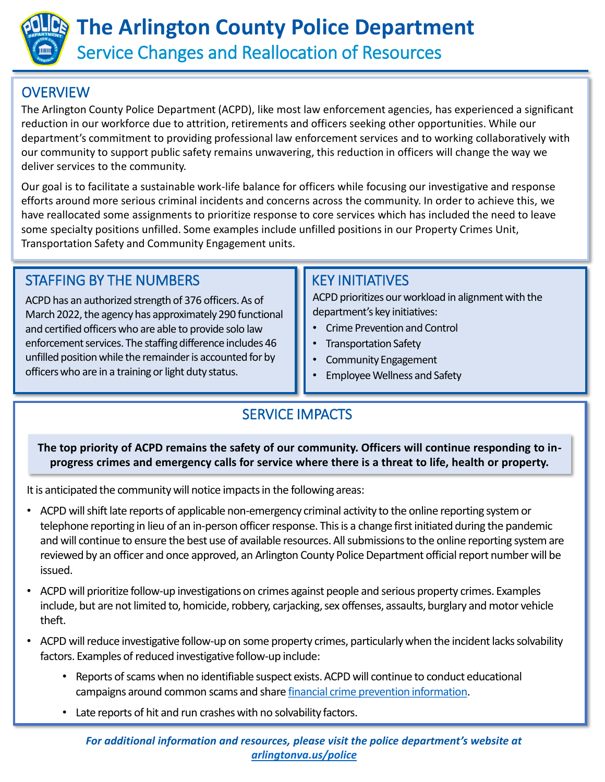

## **OVERVIEW**

The Arlington County Police Department (ACPD), like most law enforcement agencies, has experienced a significant reduction in our workforce due to attrition, retirements and officers seeking other opportunities. While our department's commitment to providing professional law enforcement services and to working collaboratively with our community to support public safety remains unwavering, this reduction in officers will change the way we deliver services to the community.

Our goal is to facilitate a sustainable work-life balance for officers while focusing our investigative and response efforts around more serious criminal incidents and concerns across the community. In order to achieve this, we have reallocated some assignments to prioritize response to core services which has included the need to leave some specialty positions unfilled. Some examples include unfilled positions in our Property Crimes Unit, Transportation Safety and Community Engagement units.

## STAFFING BY THE NUMBERS **KEY INITIATIVES**

ACPD has an authorized strength of 376 officers. As of March 2022, the agency has approximately 290 functional and certified officers who are able to provide solo law enforcement services. The staffing difference includes 46 unfilled position while the remainder is accounted for by officers who are in a training or light duty status.

ACPD prioritizes our workload in alignment with the department's key initiatives:

- Crime Prevention and Control
- Transportation Safety
- Community Engagement
- Employee Wellness and Safety

## SERVICE IMPACTS

**The top priority of ACPD remains the safety of our community. Officers will continue responding to inprogress crimes and emergency calls for service where there is a threat to life, health or property.**

It is anticipated the community will notice impacts in the following areas:

- ACPD will shift late reports of applicable non-emergency criminal activity to the online reporting system or telephone reporting in lieu of an in-person officer response. This is a change first initiated during the pandemic and will continue to ensure the best use of available resources. All submissions to the online reporting system are reviewed by an officer and once approved, an Arlington County Police Department official report number will be issued.
- ACPD will prioritize follow-up investigations on crimes against people and serious property crimes. Examples include, but are not limited to, homicide, robbery, carjacking, sex offenses, assaults, burglary and motor vehicle theft.
- ACPD will reduce investigative follow-up on some property crimes, particularly when the incident lacks solvability factors. Examples of reduced investigative follow-up include:
	- Reports of scams when no identifiable suspect exists. ACPD will continue to conduct educational campaigns around common scams and share [financial crime prevention information](https://www.arlingtonva.us/Government/Departments/Police-Department/Crime-Prevention-and-Safety-Programs/Fraud).
	- Late reports of hit and run crashes with no solvability factors.